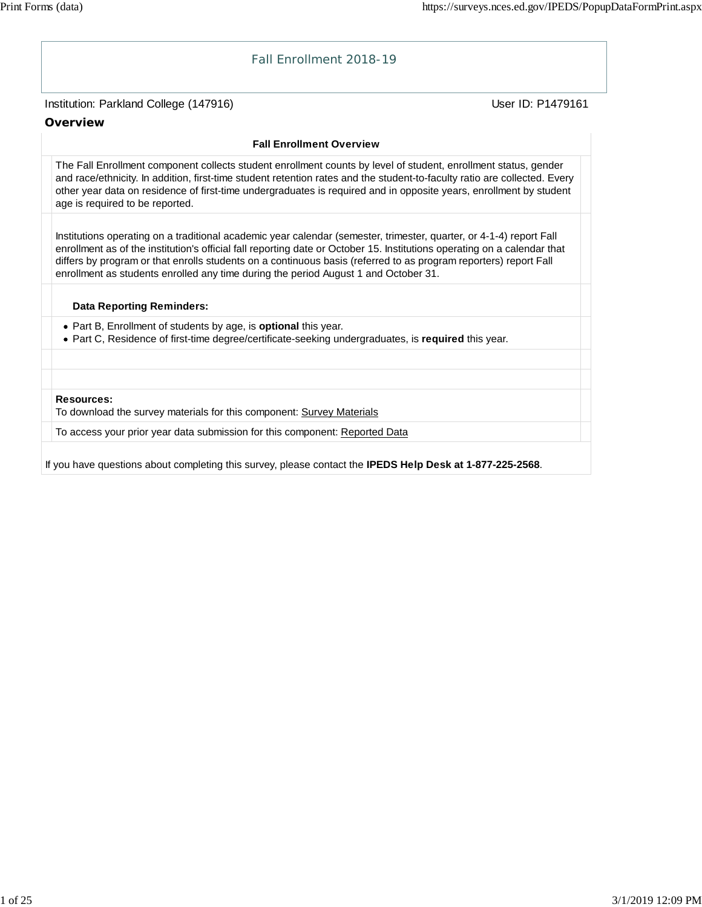

If you have questions about completing this survey, please contact the **IPEDS Help Desk at 1-877-225-2568**.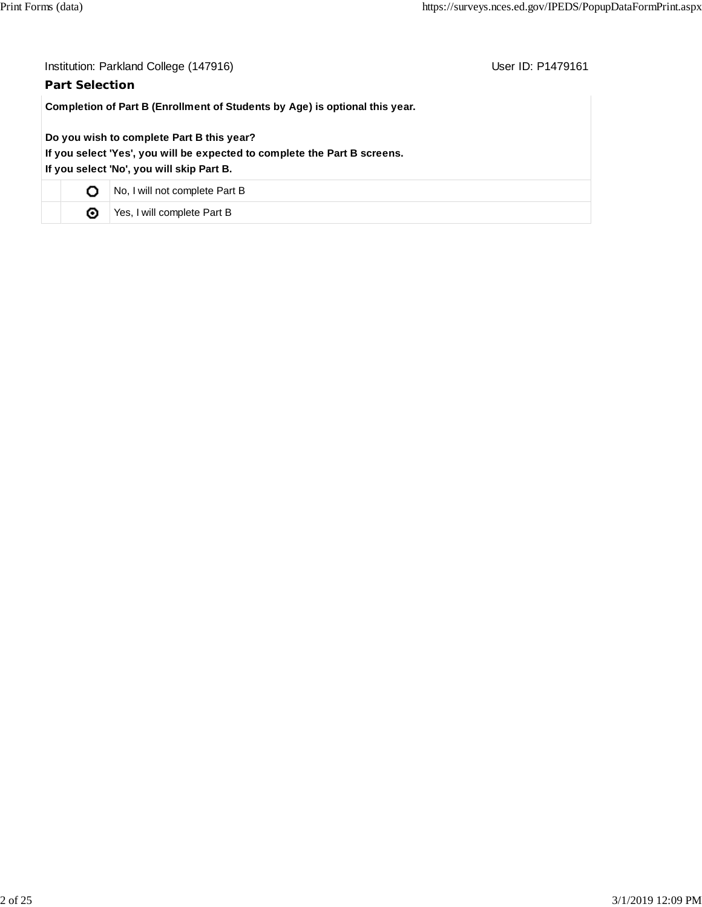| Institution: Parkland College (147916)<br>User ID: P1479161                                                                                                         |                                |  |  |  |  |  |
|---------------------------------------------------------------------------------------------------------------------------------------------------------------------|--------------------------------|--|--|--|--|--|
| <b>Part Selection</b>                                                                                                                                               |                                |  |  |  |  |  |
| Completion of Part B (Enrollment of Students by Age) is optional this year.                                                                                         |                                |  |  |  |  |  |
| Do you wish to complete Part B this year?<br>If you select 'Yes', you will be expected to complete the Part B screens.<br>If you select 'No', you will skip Part B. |                                |  |  |  |  |  |
| О                                                                                                                                                                   | No, I will not complete Part B |  |  |  |  |  |
| ◉                                                                                                                                                                   | Yes, I will complete Part B    |  |  |  |  |  |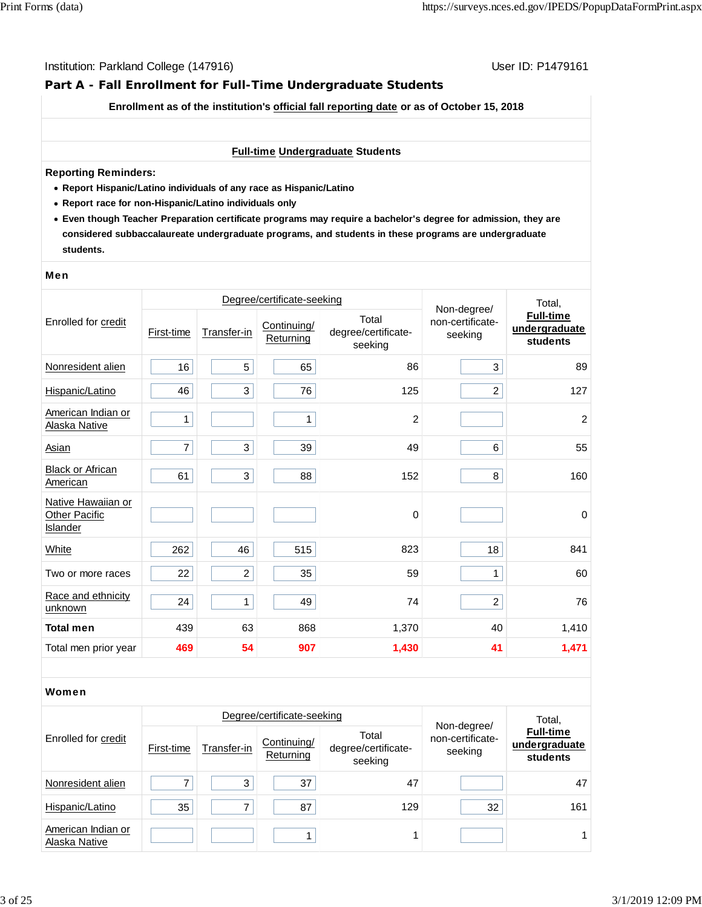# **Part A - Fall Enrollment for Full-Time Undergraduate Students**

**Enrollment as of the institution's official fall reporting date or as of October 15, 2018**

#### **Full-time Undergraduate Students**

#### **Reporting Reminders:**

- **Report Hispanic/Latino individuals of any race as Hispanic/Latino**
- **Report race for non-Hispanic/Latino individuals only**
- **Even though Teacher Preparation certificate programs may require a bachelor's degree for admission, they are considered subbaccalaureate undergraduate programs, and students in these programs are undergraduate students.**

#### Men

|                                                        |            |                | Degree/certificate-seeking |                                         | Total,                                     |                                               |
|--------------------------------------------------------|------------|----------------|----------------------------|-----------------------------------------|--------------------------------------------|-----------------------------------------------|
| Enrolled for credit                                    | First-time | Transfer-in    | Continuing/<br>Returning   | Total<br>degree/certificate-<br>seeking | Non-degree/<br>non-certificate-<br>seeking | <b>Full-time</b><br>undergraduate<br>students |
| Nonresident alien                                      | 16         | 5              | 65                         | 86                                      | 3                                          | 89                                            |
| Hispanic/Latino                                        | 46         | 3              | 76                         | 125                                     | $\overline{2}$                             | 127                                           |
| American Indian or<br>Alaska Native                    | 1          |                | 1                          | $\overline{c}$                          |                                            | $\overline{2}$                                |
| <b>Asian</b>                                           | 7          | 3              | 39                         | 49                                      | 6                                          | 55                                            |
| <b>Black or African</b><br>American                    | 61         | 3              | 88                         | 152                                     | 8                                          | 160                                           |
| Native Hawaiian or<br><b>Other Pacific</b><br>Islander |            |                |                            | $\mathbf 0$                             |                                            | $\pmb{0}$                                     |
| White                                                  | 262        | 46             | 515                        | 823                                     | 18                                         | 841                                           |
| Two or more races                                      | 22         | $\overline{c}$ | 35                         | 59                                      | 1                                          | 60                                            |
| Race and ethnicity<br>unknown                          | 24         | $\mathbf{1}$   | 49                         | 74                                      | $\overline{a}$                             | 76                                            |
| <b>Total men</b>                                       | 439        | 63             | 868                        | 1,370                                   | 40                                         | 1,410                                         |
| Total men prior year                                   | 469        | 54             | 907                        | 1,430                                   | 41                                         | 1,471                                         |

#### Women

|                                     |            |             | Degree/certificate-seeking |                                         |                                            |                                                         |
|-------------------------------------|------------|-------------|----------------------------|-----------------------------------------|--------------------------------------------|---------------------------------------------------------|
| Enrolled for credit                 | First-time | Transfer-in | Continuing/<br>Returning   | Total<br>degree/certificate-<br>seeking | Non-degree/<br>non-certificate-<br>seeking | Total,<br><b>Full-time</b><br>undergraduate<br>students |
| Nonresident alien                   |            | 3           | 37                         | 47                                      |                                            | 47                                                      |
| Hispanic/Latino                     | 35         | 7           | 87                         | 129                                     | 32                                         | 161                                                     |
| American Indian or<br>Alaska Native |            |             |                            |                                         |                                            |                                                         |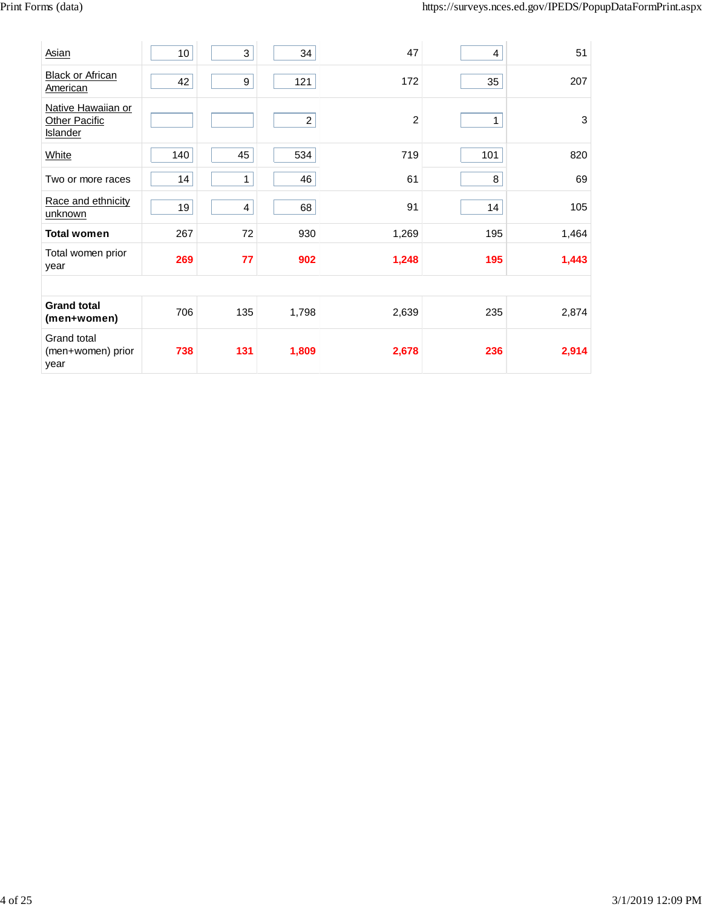| Asian                                           | 10  | 3            | 34               | 47    | 4   | 51    |
|-------------------------------------------------|-----|--------------|------------------|-------|-----|-------|
| <b>Black or African</b><br>American             | 42  | 9            | 121              | 172   | 35  | 207   |
| Native Hawaiian or<br>Other Pacific<br>Islander |     |              | $\boldsymbol{2}$ | 2     | 1   | 3     |
| White                                           | 140 | 45           | 534              | 719   | 101 | 820   |
| Two or more races                               | 14  | $\mathbf{1}$ | 46               | 61    | 8   | 69    |
| Race and ethnicity<br>unknown                   | 19  | 4            | 68               | 91    | 14  | 105   |
| <b>Total women</b>                              | 267 | 72           | 930              | 1,269 | 195 | 1,464 |
| Total women prior<br>year                       | 269 | 77           | 902              | 1,248 | 195 | 1,443 |
|                                                 |     |              |                  |       |     |       |
| <b>Grand total</b><br>(men+women)               | 706 | 135          | 1,798            | 2,639 | 235 | 2,874 |
| Grand total<br>(men+women) prior<br>year        | 738 | 131          | 1,809            | 2,678 | 236 | 2,914 |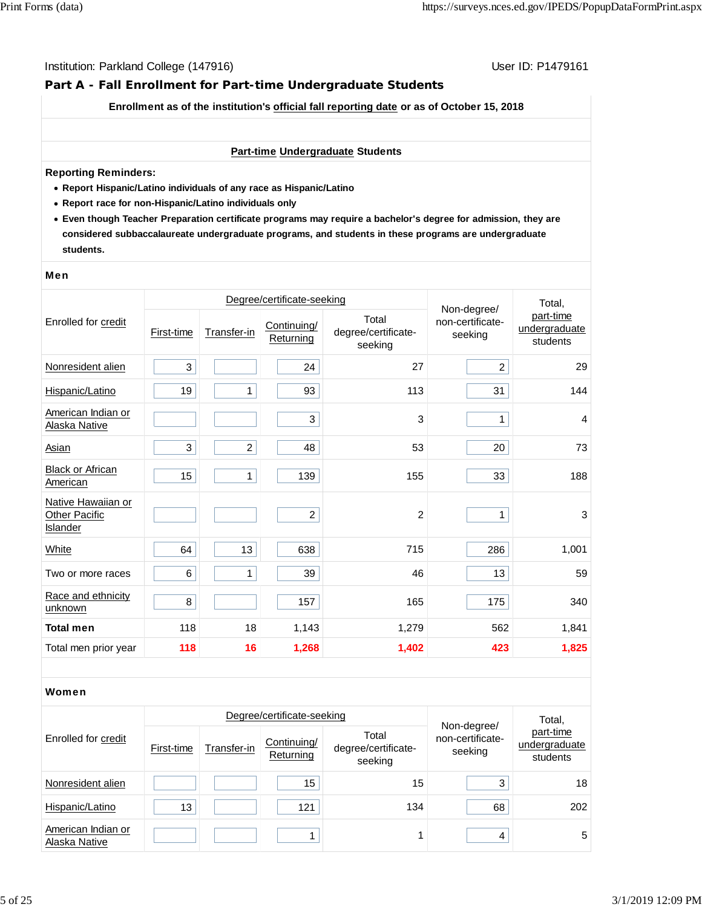# **Part A - Fall Enrollment for Part-time Undergraduate Students**

**Enrollment as of the institution's official fall reporting date or as of October 15, 2018**

#### **Part-time Undergraduate Students**

#### **Reporting Reminders:**

- **Report Hispanic/Latino individuals of any race as Hispanic/Latino**
- **Report race for non-Hispanic/Latino individuals only**
- **Even though Teacher Preparation certificate programs may require a bachelor's degree for admission, they are considered subbaccalaureate undergraduate programs, and students in these programs are undergraduate students.**

#### Men

|                                                               |            |                | Degree/certificate-seeking |                                         | Non-degree/                 | Total,                                 |
|---------------------------------------------------------------|------------|----------------|----------------------------|-----------------------------------------|-----------------------------|----------------------------------------|
| Enrolled for credit                                           | First-time | Transfer-in    | Continuing/<br>Returning   | Total<br>degree/certificate-<br>seeking | non-certificate-<br>seeking | part-time<br>undergraduate<br>students |
| Nonresident alien                                             | 3          |                | 24                         | 27                                      | $\overline{c}$              | 29                                     |
| Hispanic/Latino                                               | 19         | 1              | 93                         | 113                                     | 31                          | 144                                    |
| American Indian or<br>Alaska Native                           |            |                | 3                          | 3                                       | 1                           | $\overline{4}$                         |
| <b>Asian</b>                                                  | 3          | $\overline{c}$ | 48                         | 53                                      | 20                          | 73                                     |
| <b>Black or African</b><br>American                           | 15         | $\mathbf{1}$   | 139                        | 155                                     | 33                          | 188                                    |
| Native Hawaiian or<br><b>Other Pacific</b><br><b>Islander</b> |            |                | $\overline{c}$             | 2                                       | 1                           | 3                                      |
| White                                                         | 64         | 13             | 638                        | 715                                     | 286                         | 1,001                                  |
| Two or more races                                             | 6          | 1              | 39                         | 46                                      | 13                          | 59                                     |
| Race and ethnicity<br>unknown                                 | 8          |                | 157                        | 165                                     | 175                         | 340                                    |
| <b>Total men</b>                                              | 118        | 18             | 1,143                      | 1,279                                   | 562                         | 1,841                                  |
| Total men prior year                                          | 118        | 16             | 1,268                      | 1,402                                   | 423                         | 1,825                                  |

#### Women

|                                     |                 |             | Degree/certificate-seeking |                                         |                                            | Total,                                 |  |
|-------------------------------------|-----------------|-------------|----------------------------|-----------------------------------------|--------------------------------------------|----------------------------------------|--|
| Enrolled for credit                 | First-time      | Transfer-in | Continuing/<br>Returning   | Total<br>degree/certificate-<br>seeking | Non-degree/<br>non-certificate-<br>seeking | part-time<br>undergraduate<br>students |  |
| Nonresident alien                   |                 |             | 15                         | 15                                      | 3                                          | 18                                     |  |
| Hispanic/Latino                     | 13 <sub>1</sub> |             | 121                        | 134                                     | 68                                         | 202                                    |  |
| American Indian or<br>Alaska Native |                 |             |                            |                                         | 4                                          | 5                                      |  |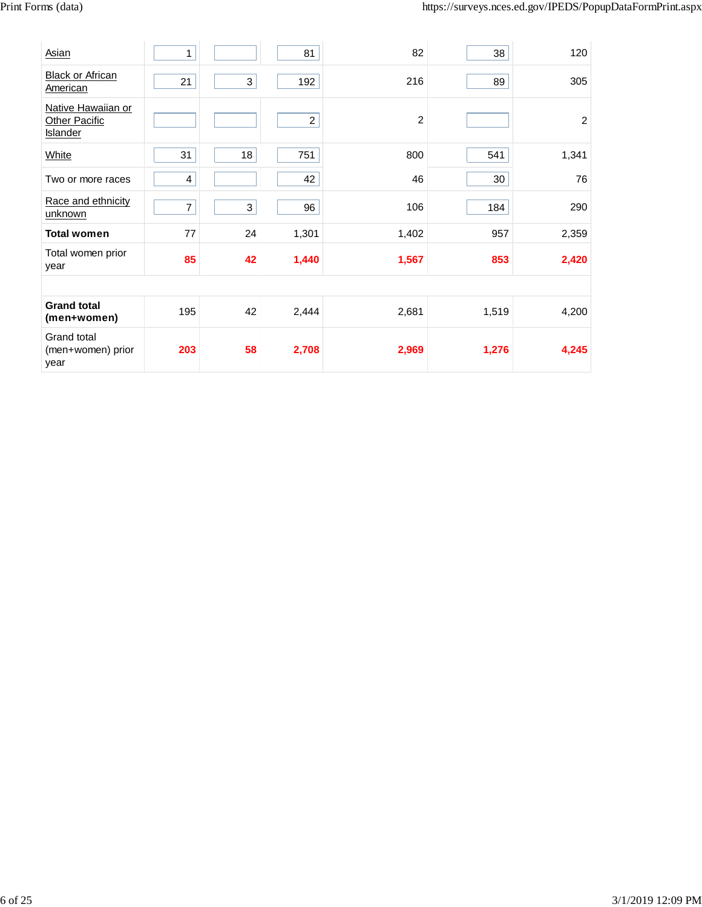| Asian                                           | 1              |                           | 81             | 82             | 38    | 120            |
|-------------------------------------------------|----------------|---------------------------|----------------|----------------|-------|----------------|
| <b>Black or African</b><br>American             | 21             | $\ensuremath{\mathsf{3}}$ | 192            | 216            | 89    | 305            |
| Native Hawaiian or<br>Other Pacific<br>Islander |                |                           | $\overline{c}$ | $\overline{c}$ |       | $\overline{c}$ |
| White                                           | 31             | 18                        | 751            | 800            | 541   | 1,341          |
| Two or more races                               | 4              |                           | 42             | 46             | 30    | 76             |
| Race and ethnicity<br>unknown                   | $\overline{7}$ | 3                         | 96             | 106            | 184   | 290            |
| <b>Total women</b>                              | 77             | 24                        | 1,301          | 1,402          | 957   | 2,359          |
| Total women prior<br>year                       | 85             | 42                        | 1,440          | 1,567          | 853   | 2,420          |
|                                                 |                |                           |                |                |       |                |
| <b>Grand total</b><br>(men+women)               | 195            | 42                        | 2,444          | 2,681          | 1,519 | 4,200          |
| Grand total<br>(men+women) prior<br>year        | 203            | 58                        | 2,708          | 2,969          | 1,276 | 4,245          |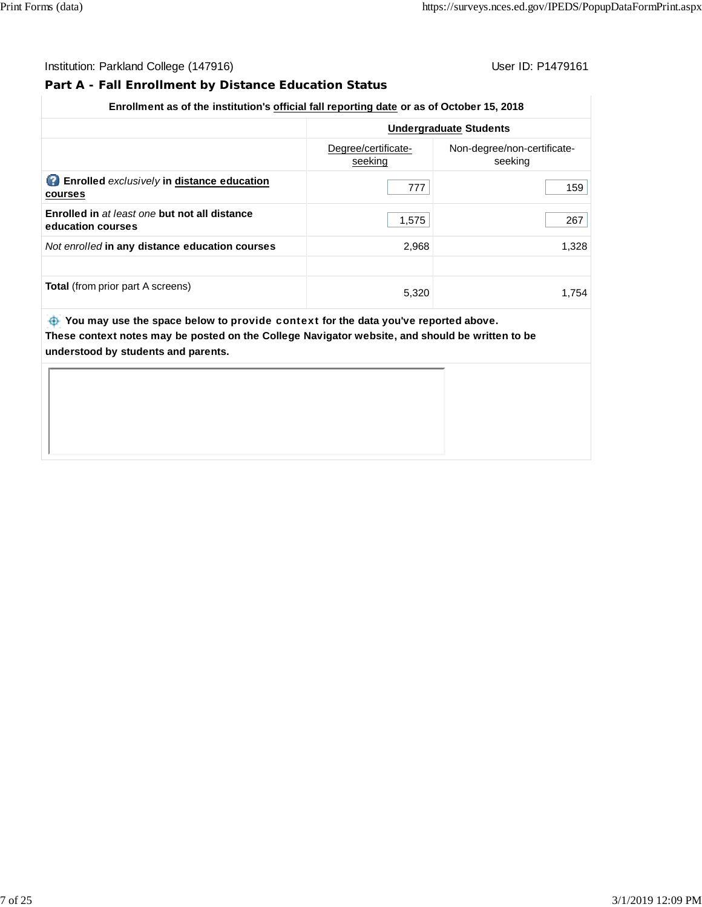# **Part A - Fall Enrollment by Distance Education Status**

# **Undergraduate Students** Degree/certificateseeking Non-degree/non-certificateseeking **Enrolled** *exclusively* **in distance education courses** 777 159 **Enrolled in** *at least one* **but not all distance** education courses **1,683** 267 **267** And enrolled **in any distance education courses** 1,328 **Total** (from prior part A screens) 6,320 5,320 1,754

**Enrollment as of the institution's official fall reporting date or as of October 15, 2018**

 **You may use the space below to** provide context **for the data you've reported above. These context notes may be posted on the College Navigator website, and should be written to be understood by students and parents.**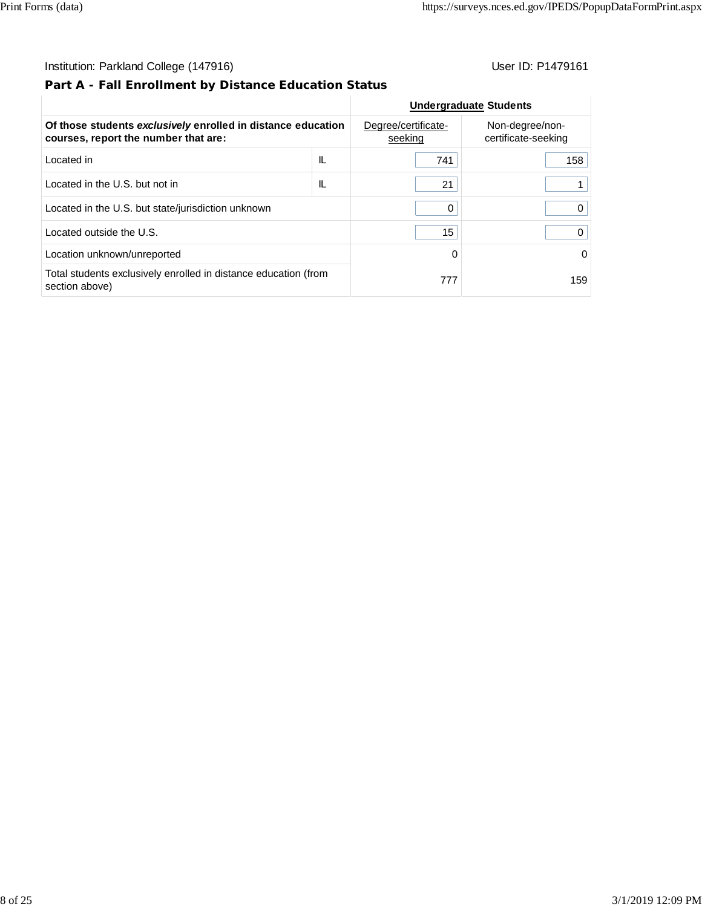# **Part A - Fall Enrollment by Distance Education Status**

|                                                                                                      |     | <b>Undergraduate Students</b>  |                                        |
|------------------------------------------------------------------------------------------------------|-----|--------------------------------|----------------------------------------|
| Of those students exclusively enrolled in distance education<br>courses, report the number that are: |     | Degree/certificate-<br>seeking | Non-degree/non-<br>certificate-seeking |
| Located in                                                                                           | IL  | 741                            | 158                                    |
| Located in the U.S. but not in                                                                       | IL  | 21                             |                                        |
| Located in the U.S. but state/jurisdiction unknown                                                   | 0   |                                |                                        |
| Located outside the U.S.                                                                             | 15  |                                |                                        |
| Location unknown/unreported                                                                          | 0   | $\Omega$                       |                                        |
| Total students exclusively enrolled in distance education (from<br>section above)                    | 777 | 159                            |                                        |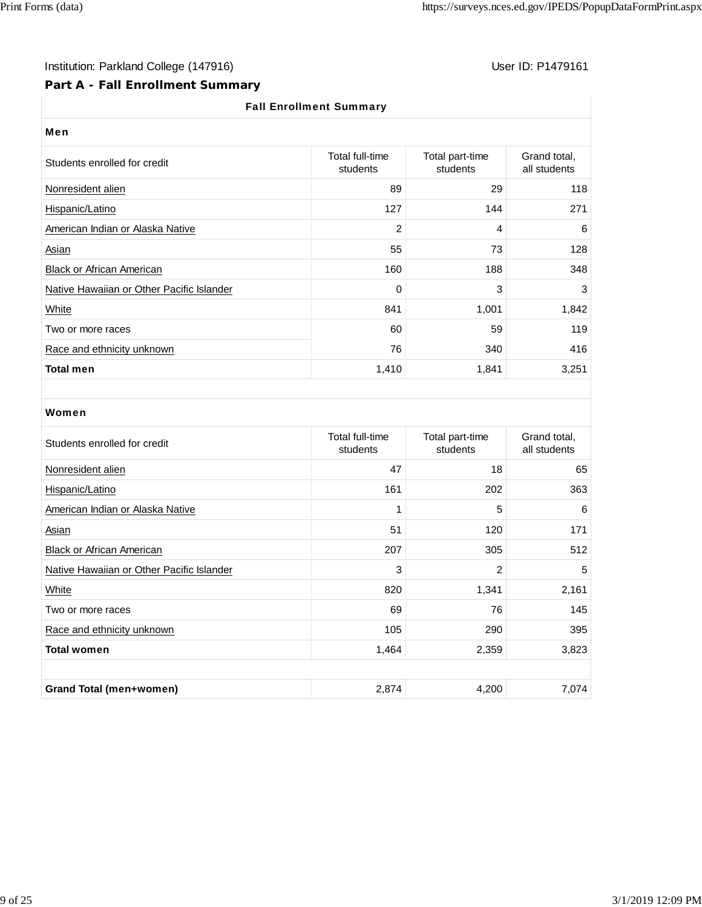# Institution: Parkland College (147916) Note that the User ID: P1479161

# **Part A - Fall Enrollment Summary**

# Fall Enrollment Summary

| Men                                       |                             |                             |                              |  |  |
|-------------------------------------------|-----------------------------|-----------------------------|------------------------------|--|--|
| Students enrolled for credit              | Total full-time<br>students | Total part-time<br>students | Grand total,<br>all students |  |  |
| Nonresident alien                         | 89                          | 29                          | 118                          |  |  |
| Hispanic/Latino                           | 127                         | 144                         | 271                          |  |  |
| American Indian or Alaska Native          | $\overline{2}$              | 4                           | 6                            |  |  |
| Asian                                     | 55                          | 73                          | 128                          |  |  |
| <b>Black or African American</b>          | 160                         | 188                         | 348                          |  |  |
| Native Hawaiian or Other Pacific Islander | 0                           | 3                           | 3                            |  |  |
| White                                     | 841                         | 1,001                       | 1,842                        |  |  |
| Two or more races                         | 60                          | 59                          | 119                          |  |  |
| Race and ethnicity unknown                | 76                          | 340                         | 416                          |  |  |
| <b>Total men</b>                          | 1,410                       | 1,841                       | 3,251                        |  |  |

#### Women

| Students enrolled for credit              | Total full-time<br>students | Total part-time<br>students | Grand total,<br>all students |
|-------------------------------------------|-----------------------------|-----------------------------|------------------------------|
| Nonresident alien                         | 47                          | 18                          | 65                           |
| Hispanic/Latino                           | 161                         | 202                         | 363                          |
| American Indian or Alaska Native          | 1                           | 5                           | 6                            |
| Asian                                     | 51                          | 120                         | 171                          |
| <b>Black or African American</b>          | 207                         | 305                         | 512                          |
| Native Hawaiian or Other Pacific Islander | 3                           | 2                           | 5                            |
| White                                     | 820                         | 1,341                       | 2,161                        |
| Two or more races                         | 69                          | 76                          | 145                          |
| Race and ethnicity unknown                | 105                         | 290                         | 395                          |
| <b>Total women</b>                        | 1,464                       | 2,359                       | 3,823                        |
|                                           |                             |                             |                              |
| <b>Grand Total (men+women)</b>            | 2,874                       | 4,200                       | 7,074                        |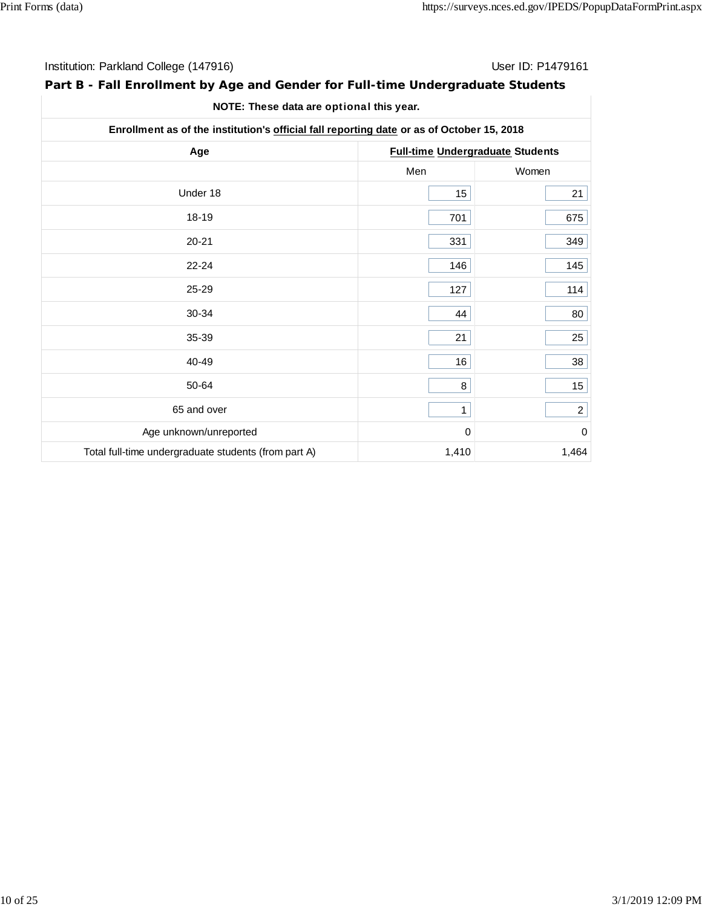| Institution: Parkland College (147916) | User ID: P1479161 |
|----------------------------------------|-------------------|
|----------------------------------------|-------------------|

# **Part B - Fall Enrollment by Age and Gender for Full-time Undergraduate Students**

| Enrollment as of the institution's official fall reporting date or as of October 15, 2018 |                                         |                |  |
|-------------------------------------------------------------------------------------------|-----------------------------------------|----------------|--|
| Age                                                                                       | <b>Full-time Undergraduate Students</b> |                |  |
|                                                                                           | Men                                     | Women          |  |
| Under 18                                                                                  | 15                                      | 21             |  |
| 18-19                                                                                     | 701                                     | 675            |  |
| $20 - 21$                                                                                 | 331                                     | 349            |  |
| $22 - 24$                                                                                 | 146                                     | 145            |  |
| 25-29                                                                                     | 127                                     | 114            |  |
| 30-34                                                                                     | 44                                      | 80             |  |
| 35-39                                                                                     | 21                                      | 25             |  |
| 40-49                                                                                     | 16                                      | 38             |  |
| 50-64                                                                                     | 8                                       | 15             |  |
| 65 and over                                                                               | $\mathbf{1}$                            | $\overline{c}$ |  |
| Age unknown/unreported                                                                    | $\mathbf 0$                             | $\mathbf 0$    |  |
| Total full-time undergraduate students (from part A)                                      | 1,410                                   | 1,464          |  |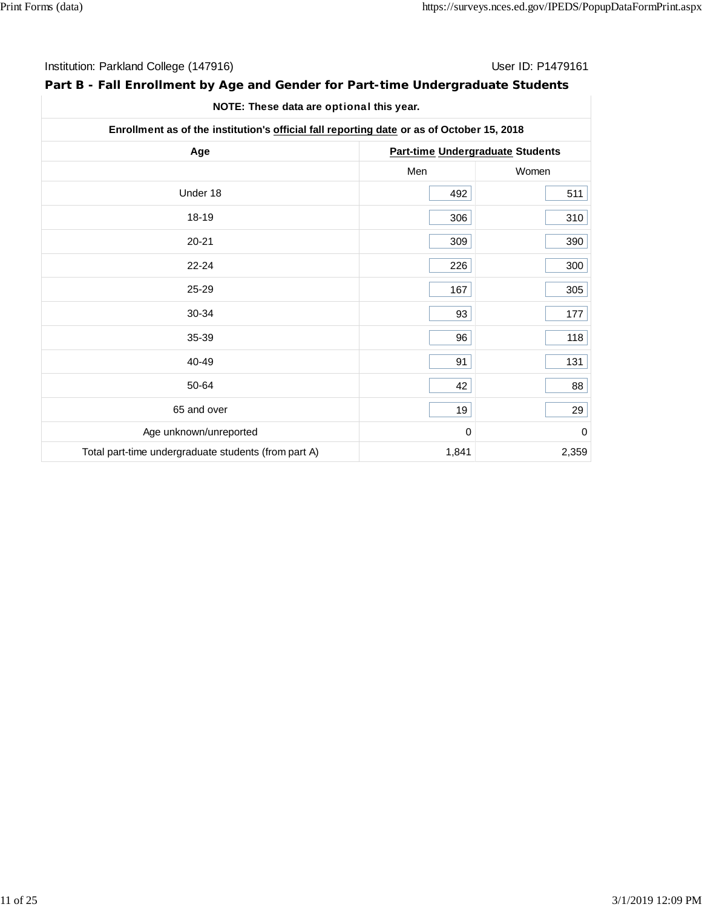| Institution: Parkland College (147916) | User ID: P1479161 |
|----------------------------------------|-------------------|
|----------------------------------------|-------------------|

# **Part B - Fall Enrollment by Age and Gender for Part-time Undergraduate Students**

| Enrollment as of the institution's official fall reporting date or as of October 15, 2018 |                                  |       |  |
|-------------------------------------------------------------------------------------------|----------------------------------|-------|--|
| Age                                                                                       | Part-time Undergraduate Students |       |  |
|                                                                                           | Men                              | Women |  |
| Under 18                                                                                  | 492                              | 511   |  |
| 18-19                                                                                     | 306                              | 310   |  |
| $20 - 21$                                                                                 | 309                              | 390   |  |
| $22 - 24$                                                                                 | 226                              | 300   |  |
| 25-29                                                                                     | 167                              | 305   |  |
| 30-34                                                                                     | 93                               | 177   |  |
| 35-39                                                                                     | 96                               | 118   |  |
| 40-49                                                                                     | 91                               | 131   |  |
| 50-64                                                                                     | 42                               | 88    |  |
| 65 and over                                                                               | 19                               | 29    |  |
| Age unknown/unreported                                                                    | 0                                | 0     |  |
| Total part-time undergraduate students (from part A)                                      | 1,841                            | 2,359 |  |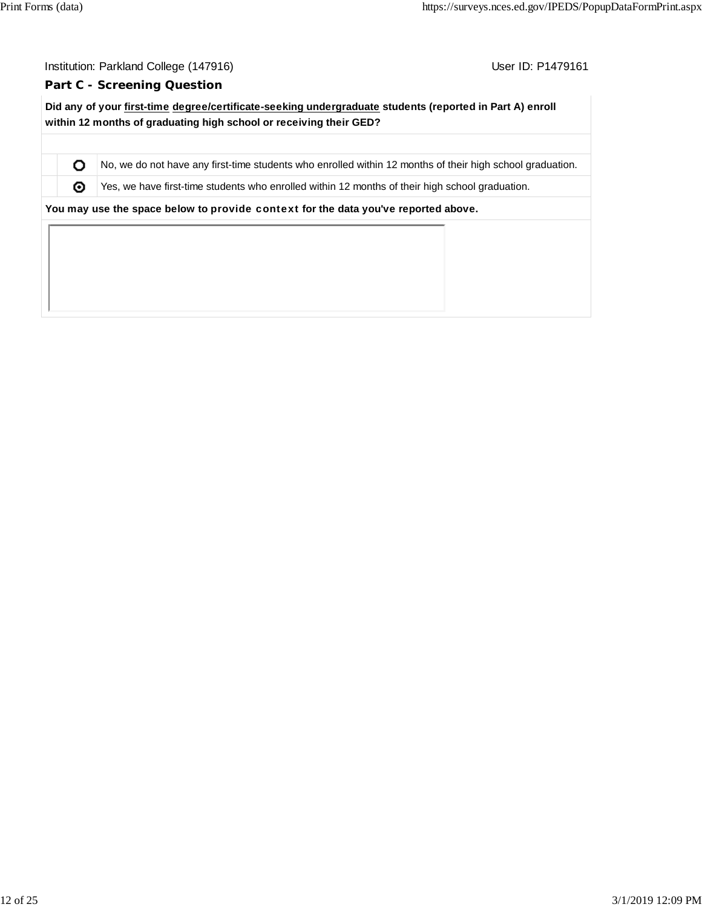O ⊚

User ID: P1479161

#### **Part C - Screening Question**

**Did any of your first-time degree/certificate-seeking undergraduate students (reported in Part A) enroll within 12 months of graduating high school or receiving their GED?**

No, we do not have any first-time students who enrolled within 12 months of their high school graduation.

Yes, we have first-time students who enrolled within 12 months of their high school graduation.

**You may use the space below to** provide context **for the data you've reported above.**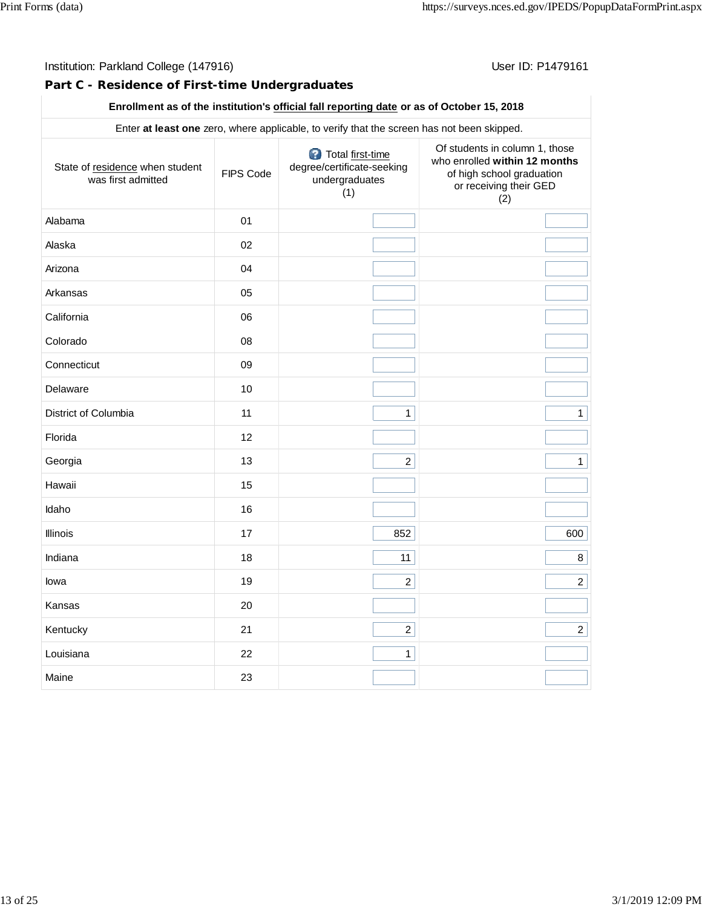# Institution: Parkland College (147916) **Institution: Parkland College (1479161**

# **Part C - Residence of First-time Undergraduates**

# **Enrollment as of the institution's official fall reporting date or as of October 15, 2018**

|                                                       |           | Enter at least one zero, where applicable, to verify that the screen has not been skipped. |                                                                                                                               |
|-------------------------------------------------------|-----------|--------------------------------------------------------------------------------------------|-------------------------------------------------------------------------------------------------------------------------------|
| State of residence when student<br>was first admitted | FIPS Code | Total first-time<br>degree/certificate-seeking<br>undergraduates<br>(1)                    | Of students in column 1, those<br>who enrolled within 12 months<br>of high school graduation<br>or receiving their GED<br>(2) |
| Alabama                                               | 01        |                                                                                            |                                                                                                                               |
| Alaska                                                | 02        |                                                                                            |                                                                                                                               |
| Arizona                                               | 04        |                                                                                            |                                                                                                                               |
| Arkansas                                              | 05        |                                                                                            |                                                                                                                               |
| California                                            | 06        |                                                                                            |                                                                                                                               |
| Colorado                                              | 08        |                                                                                            |                                                                                                                               |
| Connecticut                                           | 09        |                                                                                            |                                                                                                                               |
| Delaware                                              | 10        |                                                                                            |                                                                                                                               |
| District of Columbia                                  | 11        | $\mathbf{1}$                                                                               | $\mathbf{1}$                                                                                                                  |
| Florida                                               | 12        |                                                                                            |                                                                                                                               |
| Georgia                                               | 13        | $\overline{c}$                                                                             | $\mathbf{1}$                                                                                                                  |
| Hawaii                                                | 15        |                                                                                            |                                                                                                                               |
| Idaho                                                 | 16        |                                                                                            |                                                                                                                               |
| Illinois                                              | 17        | 852                                                                                        | 600                                                                                                                           |
| Indiana                                               | 18        | 11                                                                                         | 8 <sup>1</sup>                                                                                                                |
| lowa                                                  | 19        | $\overline{a}$                                                                             | $2\vert$                                                                                                                      |
| Kansas                                                | 20        |                                                                                            |                                                                                                                               |
| Kentucky                                              | 21        | $2\vert$                                                                                   | 2                                                                                                                             |
| Louisiana                                             | 22        | $\mathbf{1}$                                                                               |                                                                                                                               |
| Maine                                                 | 23        |                                                                                            |                                                                                                                               |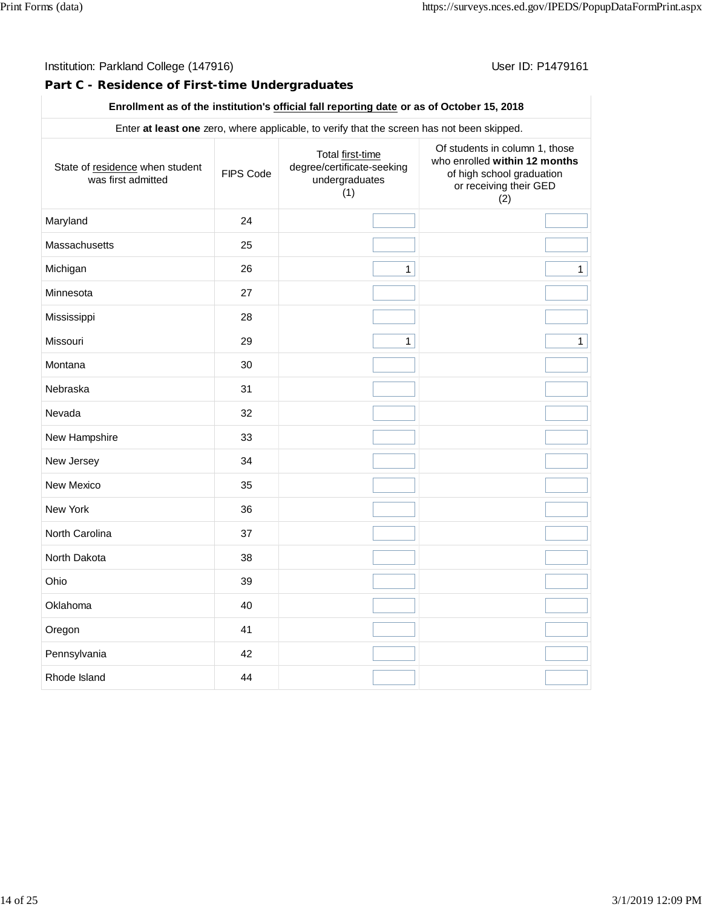# Institution: Parkland College (147916) **Institution: Parkland College (1479161**

# **Part C - Residence of First-time Undergraduates**

# **Enrollment as of the institution's official fall reporting date or as of October 15, 2018**

|                                                       |           | Enter at least one zero, where applicable, to verify that the screen has not been skipped. |                                                                                                                               |
|-------------------------------------------------------|-----------|--------------------------------------------------------------------------------------------|-------------------------------------------------------------------------------------------------------------------------------|
| State of residence when student<br>was first admitted | FIPS Code | Total first-time<br>degree/certificate-seeking<br>undergraduates<br>(1)                    | Of students in column 1, those<br>who enrolled within 12 months<br>of high school graduation<br>or receiving their GED<br>(2) |
| Maryland                                              | 24        |                                                                                            |                                                                                                                               |
| Massachusetts                                         | 25        |                                                                                            |                                                                                                                               |
| Michigan                                              | 26        | $\mathbf{1}$                                                                               | $\mathbf{1}$                                                                                                                  |
| Minnesota                                             | 27        |                                                                                            |                                                                                                                               |
| Mississippi                                           | 28        |                                                                                            |                                                                                                                               |
| Missouri                                              | 29        | $\mathbf{1}$                                                                               | $\mathbf{1}$                                                                                                                  |
| Montana                                               | 30        |                                                                                            |                                                                                                                               |
| Nebraska                                              | 31        |                                                                                            |                                                                                                                               |
| Nevada                                                | 32        |                                                                                            |                                                                                                                               |
| New Hampshire                                         | 33        |                                                                                            |                                                                                                                               |
| New Jersey                                            | 34        |                                                                                            |                                                                                                                               |
| New Mexico                                            | 35        |                                                                                            |                                                                                                                               |
| New York                                              | 36        |                                                                                            |                                                                                                                               |
| North Carolina                                        | 37        |                                                                                            |                                                                                                                               |
| North Dakota                                          | 38        |                                                                                            |                                                                                                                               |
| Ohio                                                  | 39        |                                                                                            |                                                                                                                               |
| Oklahoma                                              | 40        |                                                                                            |                                                                                                                               |
| Oregon                                                | 41        |                                                                                            |                                                                                                                               |
| Pennsylvania                                          | 42        |                                                                                            |                                                                                                                               |
| Rhode Island                                          | 44        |                                                                                            |                                                                                                                               |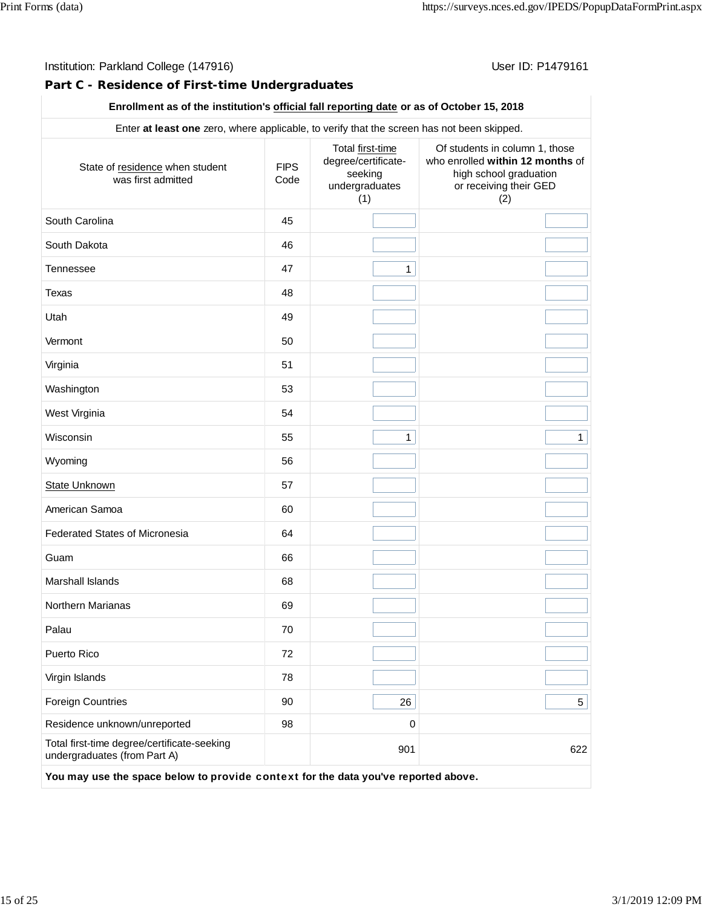# **Part C - Residence of First-time Undergraduates**

# **Enrollment as of the institution's official fall reporting date or as of October 15, 2018**

|                                                                             |                     | Total first-time                                        | Of students in column 1, those                                                              |  |  |
|-----------------------------------------------------------------------------|---------------------|---------------------------------------------------------|---------------------------------------------------------------------------------------------|--|--|
| State of residence when student<br>was first admitted                       | <b>FIPS</b><br>Code | degree/certificate-<br>seeking<br>undergraduates<br>(1) | who enrolled within 12 months of<br>high school graduation<br>or receiving their GED<br>(2) |  |  |
| South Carolina                                                              | 45                  |                                                         |                                                                                             |  |  |
| South Dakota                                                                | 46                  |                                                         |                                                                                             |  |  |
| <b>Tennessee</b>                                                            | 47                  | $\mathbf{1}$                                            |                                                                                             |  |  |
| Texas                                                                       | 48                  |                                                         |                                                                                             |  |  |
| Utah                                                                        | 49                  |                                                         |                                                                                             |  |  |
| Vermont                                                                     | 50                  |                                                         |                                                                                             |  |  |
| Virginia                                                                    | 51                  |                                                         |                                                                                             |  |  |
| Washington                                                                  | 53                  |                                                         |                                                                                             |  |  |
| West Virginia                                                               | 54                  |                                                         |                                                                                             |  |  |
| Wisconsin                                                                   | 55                  | $\mathbf{1}$                                            | $\mathbf{1}$                                                                                |  |  |
| Wyoming                                                                     | 56                  |                                                         |                                                                                             |  |  |
| <b>State Unknown</b>                                                        | 57                  |                                                         |                                                                                             |  |  |
| American Samoa                                                              | 60                  |                                                         |                                                                                             |  |  |
| <b>Federated States of Micronesia</b>                                       | 64                  |                                                         |                                                                                             |  |  |
| Guam                                                                        | 66                  |                                                         |                                                                                             |  |  |
| Marshall Islands                                                            | 68                  |                                                         |                                                                                             |  |  |
| Northern Marianas                                                           | 69                  |                                                         |                                                                                             |  |  |
| Palau                                                                       | 70                  |                                                         |                                                                                             |  |  |
| Puerto Rico                                                                 | 72                  |                                                         |                                                                                             |  |  |
| Virgin Islands                                                              | 78                  |                                                         |                                                                                             |  |  |
| <b>Foreign Countries</b>                                                    | 90                  | 26                                                      | 5                                                                                           |  |  |
| Residence unknown/unreported                                                | 98                  | $\mathbf 0$                                             |                                                                                             |  |  |
| Total first-time degree/certificate-seeking<br>undergraduates (from Part A) |                     | 901                                                     | 622                                                                                         |  |  |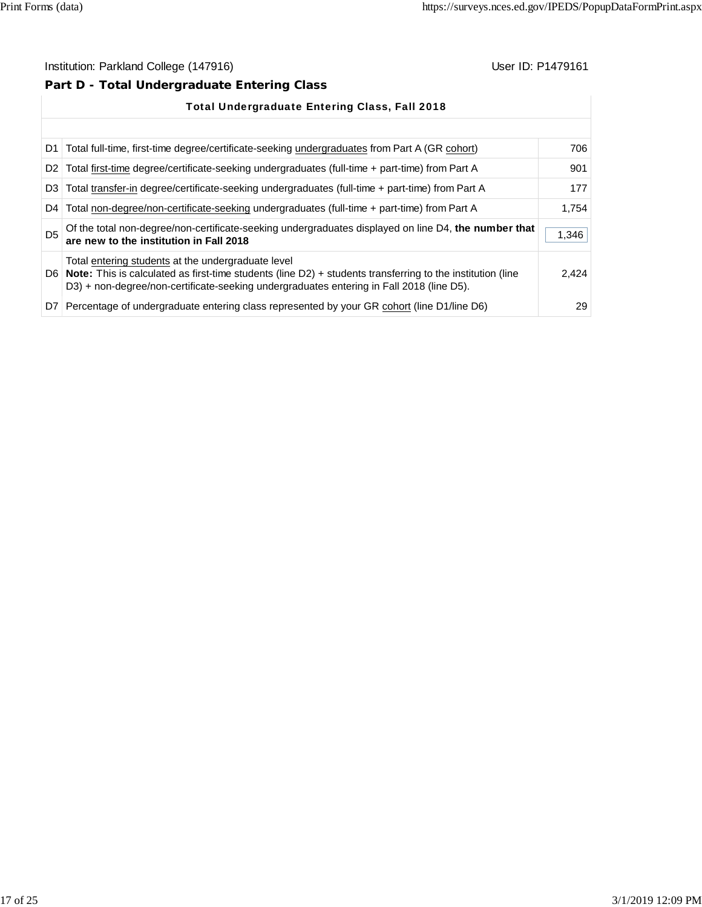# **Part D - Total Undergraduate Entering Class**

|                | <b>Total Undergraduate Entering Class, Fall 2018</b>                                                                                                                                                                                                                 |       |  |  |  |
|----------------|----------------------------------------------------------------------------------------------------------------------------------------------------------------------------------------------------------------------------------------------------------------------|-------|--|--|--|
|                |                                                                                                                                                                                                                                                                      |       |  |  |  |
| D1.            | Total full-time, first-time degree/certificate-seeking undergraduates from Part A (GR cohort)                                                                                                                                                                        | 706   |  |  |  |
| D <sub>2</sub> | Total first-time degree/certificate-seeking undergraduates (full-time + part-time) from Part A                                                                                                                                                                       | 901   |  |  |  |
| D <sub>3</sub> | Total transfer-in degree/certificate-seeking undergraduates (full-time + part-time) from Part A                                                                                                                                                                      | 177   |  |  |  |
| D4 l           | Total non-degree/non-certificate-seeking undergraduates (full-time + part-time) from Part A                                                                                                                                                                          | 1.754 |  |  |  |
| D <sub>5</sub> | Of the total non-degree/non-certificate-seeking undergraduates displayed on line D4, the number that<br>are new to the institution in Fall 2018                                                                                                                      | 1,346 |  |  |  |
|                | Total entering students at the undergraduate level<br>D6   Note: This is calculated as first-time students (line $D2$ ) + students transferring to the institution (line<br>D3) + non-degree/non-certificate-seeking undergraduates entering in Fall 2018 (line D5). | 2.424 |  |  |  |
|                | D7 Percentage of undergraduate entering class represented by your GR cohort (line D1/line D6)                                                                                                                                                                        | 29    |  |  |  |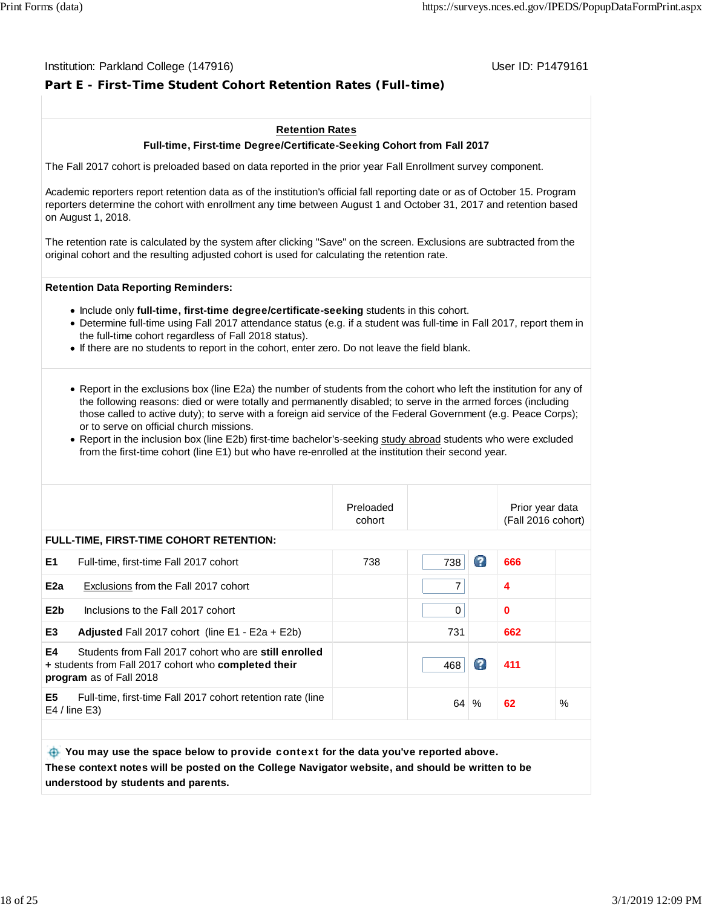# **Part E - First-Time Student Cohort Retention Rates (Full-time)**

#### **Retention Rates**

#### **Full-time, First-time Degree/Certificate-Seeking Cohort from Fall 2017**

The Fall 2017 cohort is preloaded based on data reported in the prior year Fall Enrollment survey component.

Academic reporters report retention data as of the institution's official fall reporting date or as of October 15. Program reporters determine the cohort with enrollment any time between August 1 and October 31, 2017 and retention based on August 1, 2018.

The retention rate is calculated by the system after clicking "Save" on the screen. Exclusions are subtracted from the original cohort and the resulting adjusted cohort is used for calculating the retention rate.

#### **Retention Data Reporting Reminders:**

- **Include only full-time, first-time degree/certificate-seeking students in this cohort.**
- Determine full-time using Fall 2017 attendance status (e.g. if a student was full-time in Fall 2017, report them in the full-time cohort regardless of Fall 2018 status).
- If there are no students to report in the cohort, enter zero. Do not leave the field blank.
- Report in the exclusions box (line E2a) the number of students from the cohort who left the institution for any of the following reasons: died or were totally and permanently disabled; to serve in the armed forces (including those called to active duty); to serve with a foreign aid service of the Federal Government (e.g. Peace Corps); or to serve on official church missions.
- Report in the inclusion box (line E2b) first-time bachelor's-seeking study abroad students who were excluded from the first-time cohort (line E1) but who have re-enrolled at the institution their second year.

|                  |                                                                                                                                          | Preloaded<br>cohort |          |      | Prior year data<br>(Fall 2016 cohort) |      |
|------------------|------------------------------------------------------------------------------------------------------------------------------------------|---------------------|----------|------|---------------------------------------|------|
|                  | <b>FULL-TIME, FIRST-TIME COHORT RETENTION:</b>                                                                                           |                     |          |      |                                       |      |
| E1               | Full-time, first-time Fall 2017 cohort                                                                                                   | 738                 | 738      | Ø    | 666                                   |      |
| E2a              | Exclusions from the Fall 2017 cohort                                                                                                     |                     | 7        |      | 4                                     |      |
| E <sub>2</sub> b | Inclusions to the Fall 2017 cohort                                                                                                       |                     | $\Omega$ |      | $\bf{0}$                              |      |
| E <sub>3</sub>   | <b>Adjusted</b> Fall 2017 cohort (line $E1 - E2a + E2b$ )                                                                                |                     | 731      |      | 662                                   |      |
| E4               | Students from Fall 2017 cohort who are still enrolled<br>+ students from Fall 2017 cohort who completed their<br>program as of Fall 2018 |                     | 468      | Ø    | 411                                   |      |
| E <sub>5</sub>   | Full-time, first-time Fall 2017 cohort retention rate (line<br>$E4$ / line $E3$ )                                                        |                     |          | 64 % | 62                                    | $\%$ |
|                  |                                                                                                                                          |                     |          |      |                                       |      |
|                  |                                                                                                                                          |                     |          |      |                                       |      |

 **You may use the space below to** provide context **for the data you've reported above. These context notes will be posted on the College Navigator website, and should be written to be understood by students and parents.**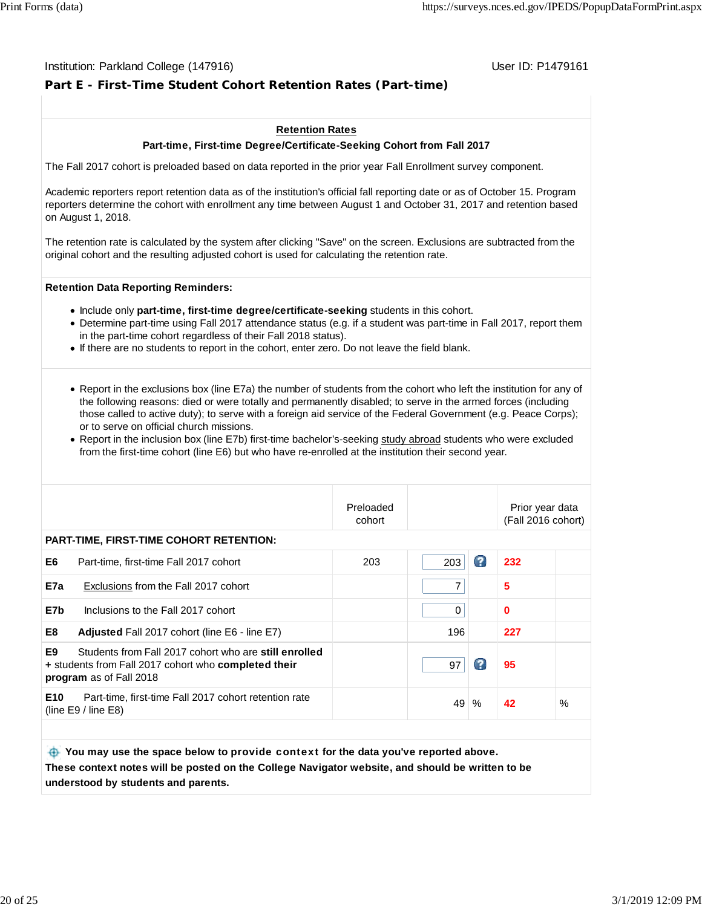# **Part E - First-Time Student Cohort Retention Rates (Part-time)**

#### **Retention Rates**

#### **Part-time, First-time Degree/Certificate-Seeking Cohort from Fall 2017**

The Fall 2017 cohort is preloaded based on data reported in the prior year Fall Enrollment survey component.

Academic reporters report retention data as of the institution's official fall reporting date or as of October 15. Program reporters determine the cohort with enrollment any time between August 1 and October 31, 2017 and retention based on August 1, 2018.

The retention rate is calculated by the system after clicking "Save" on the screen. Exclusions are subtracted from the original cohort and the resulting adjusted cohort is used for calculating the retention rate.

#### **Retention Data Reporting Reminders:**

- Include only **part-time, first-time degree/certificate-seeking** students in this cohort.
- Determine part-time using Fall 2017 attendance status (e.g. if a student was part-time in Fall 2017, report them in the part-time cohort regardless of their Fall 2018 status).
- If there are no students to report in the cohort, enter zero. Do not leave the field blank.
- Report in the exclusions box (line E7a) the number of students from the cohort who left the institution for any of the following reasons: died or were totally and permanently disabled; to serve in the armed forces (including those called to active duty); to serve with a foreign aid service of the Federal Government (e.g. Peace Corps); or to serve on official church missions.
- Report in the inclusion box (line E7b) first-time bachelor's-seeking study abroad students who were excluded from the first-time cohort (line E6) but who have re-enrolled at the institution their second year.

|     |                                                                                                                                                 | Preloaded<br>cohort |          |      | Prior year data<br>(Fall 2016 cohort) |      |
|-----|-------------------------------------------------------------------------------------------------------------------------------------------------|---------------------|----------|------|---------------------------------------|------|
|     | <b>PART-TIME, FIRST-TIME COHORT RETENTION:</b>                                                                                                  |                     |          |      |                                       |      |
| E6  | Part-time, first-time Fall 2017 cohort                                                                                                          | 203                 | 203      | Ø    | 232                                   |      |
| E7a | Exclusions from the Fall 2017 cohort                                                                                                            |                     | 7        |      | 5                                     |      |
| E7b | Inclusions to the Fall 2017 cohort                                                                                                              |                     | $\Omega$ |      | $\bf{0}$                              |      |
| E8  | <b>Adjusted</b> Fall 2017 cohort (line E6 - line E7)                                                                                            |                     | 196      |      | 227                                   |      |
| E9  | Students from Fall 2017 cohort who are still enrolled<br>+ students from Fall 2017 cohort who <b>completed their</b><br>program as of Fall 2018 |                     | 97       | Ø    | 95                                    |      |
| E10 | Part-time, first-time Fall 2017 cohort retention rate<br>(line $E9/$ line $E8$ )                                                                |                     |          | 49 % | 42                                    | $\%$ |
|     |                                                                                                                                                 |                     |          |      |                                       |      |
|     |                                                                                                                                                 |                     |          |      |                                       |      |

 **You may use the space below to** provide context **for the data you've reported above. These context notes will be posted on the College Navigator website, and should be written to be understood by students and parents.**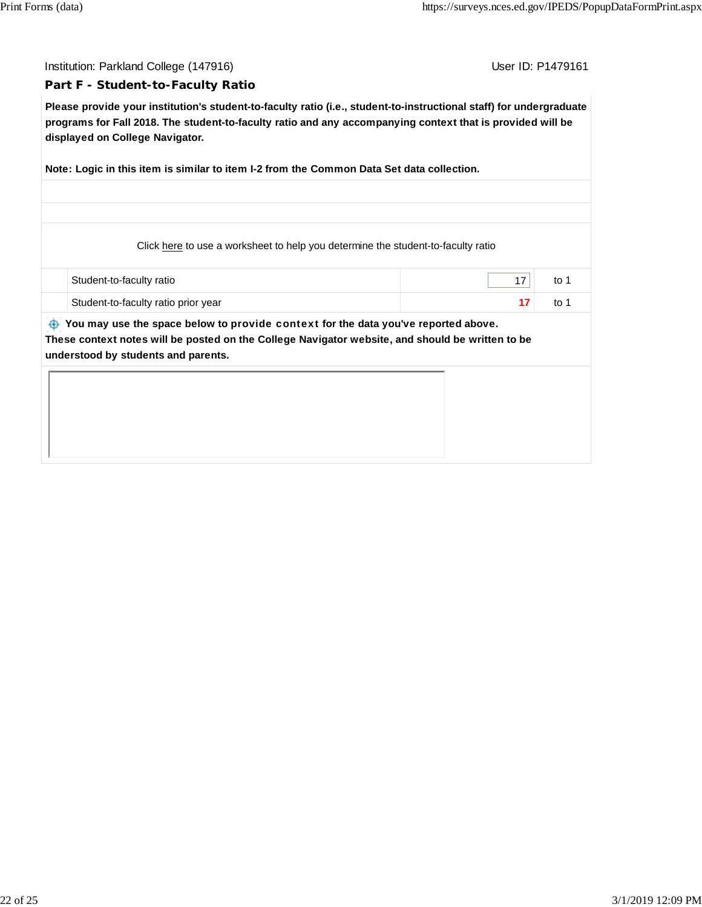#### **Part F - Student-to-Faculty Ratio**

**Please provide your institution's student-to-faculty ratio (i.e., student-to-instructional staff) for undergraduate programs for Fall 2018. The student-to-faculty ratio and any accompanying context that is provided will be displayed on College Navigator.**

**Note: Logic in this item is similar to item I-2 from the Common Data Set data collection.**

Click here to use a worksheet to help you determine the student-to-faculty ratio

| Student-to-faculty ratio            | to |
|-------------------------------------|----|
| Student-to-faculty ratio prior year | to |

 **You may use the space below to** provide context **for the data you've reported above. These context notes will be posted on the College Navigator website, and should be written to be understood by students and parents.**

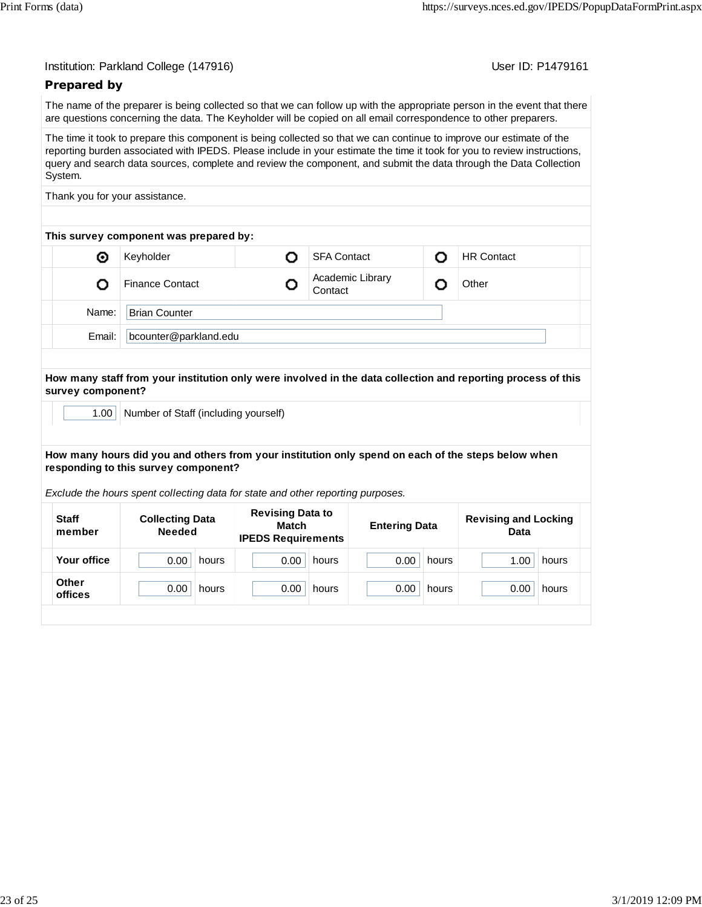| Institution: Parkland College (147916) |  |  |  |
|----------------------------------------|--|--|--|
|----------------------------------------|--|--|--|

User ID: P1479161

#### **Prepared by**

The name of the preparer is being collected so that we can follow up with the appropriate person in the event that there are questions concerning the data. The Keyholder will be copied on all email correspondence to other preparers.

The time it took to prepare this component is being collected so that we can continue to improve our estimate of the reporting burden associated with IPEDS. Please include in your estimate the time it took for you to review instructions, query and search data sources, complete and review the component, and submit the data through the Data Collection System.

Thank you for your assistance.

| This survey component was prepared by: |                        |  |                             |  |                   |  |  |  |
|----------------------------------------|------------------------|--|-----------------------------|--|-------------------|--|--|--|
| ◉                                      | Keyholder              |  | <b>SFA Contact</b>          |  | <b>HR Contact</b> |  |  |  |
|                                        | <b>Finance Contact</b> |  | Academic Library<br>Contact |  | Other             |  |  |  |
| Name:                                  | <b>Brian Counter</b>   |  |                             |  |                   |  |  |  |
| Email:                                 | bcounter@parkland.edu  |  |                             |  |                   |  |  |  |

#### **How many staff from your institution only were involved in the data collection and reporting process of this survey component?**

1.00 | Number of Staff (including yourself)

#### **How many hours did you and others from your institution only spend on each of the steps below when responding to this survey component?**

*Exclude the hours spent collecting data for state and other reporting purposes.*

| <b>Staff</b><br>member | <b>Collecting Data</b><br><b>Needed</b> | <b>Revising Data to</b><br>Match<br><b>IPEDS Requirements</b> | <b>Entering Data</b> | <b>Revising and Locking</b><br>Data |  |
|------------------------|-----------------------------------------|---------------------------------------------------------------|----------------------|-------------------------------------|--|
| Your office            | 0.00                                    | 0.00                                                          | 0.00                 | 1.00                                |  |
|                        | hours                                   | hours                                                         | hours                | hours                               |  |
| Other                  | 0.00                                    | 0.00                                                          | 0.00                 | 0.00                                |  |
| offices                | hours                                   | hours                                                         | hours                | hours                               |  |
|                        |                                         |                                                               |                      |                                     |  |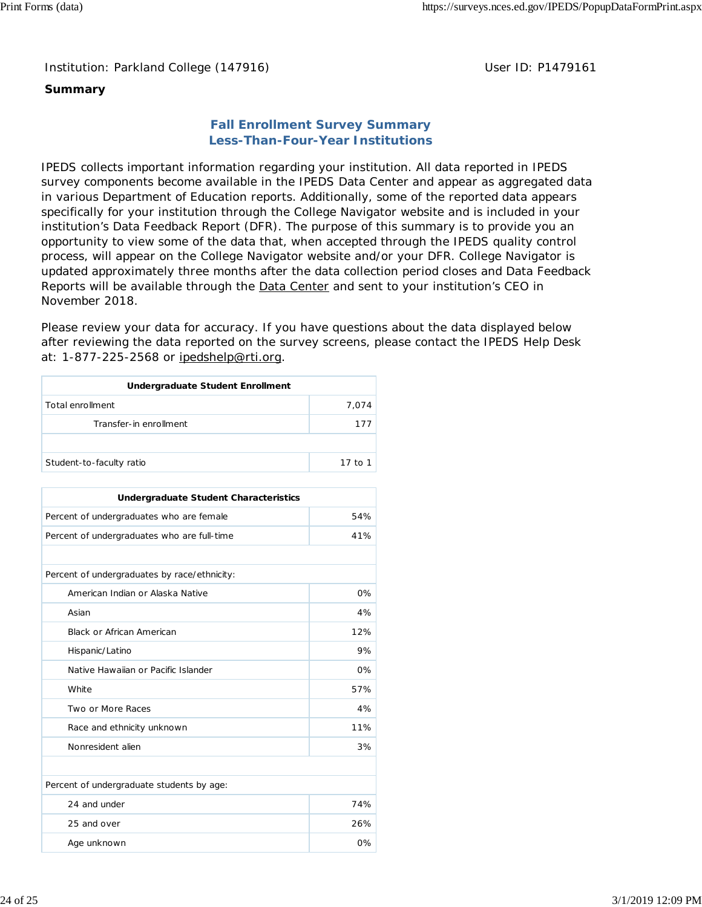Institution: Parkland College (147916) **Distribution: Parkland College (1479161** College College College College College College College College College College College College College College College College College Colle

# **Summary**

# **Fall Enrollment Survey Summary Less-Than-Four-Year Institutions**

IPEDS collects important information regarding your institution. All data reported in IPEDS survey components become available in the IPEDS Data Center and appear as aggregated data in various Department of Education reports. Additionally, some of the reported data appears specifically for your institution through the College Navigator website and is included in your institution's Data Feedback Report (DFR). The purpose of this summary is to provide you an opportunity to view some of the data that, when accepted through the IPEDS quality control process, will appear on the College Navigator website and/or your DFR. College Navigator is updated approximately three months after the data collection period closes and Data Feedback Reports will be available through the Data Center and sent to your institution's CEO in November 2018.

Please review your data for accuracy. If you have questions about the data displayed below after reviewing the data reported on the survey screens, please contact the IPEDS Help Desk at: 1-877-225-2568 or ipedshelp@rti.org.

| Undergraduate Student Enrollment |         |  |  |  |
|----------------------------------|---------|--|--|--|
| Total enrollment                 | 7.074   |  |  |  |
| Transfer-in enrollment           | 177     |  |  |  |
|                                  |         |  |  |  |
| Student-to-faculty ratio         | 17 to 1 |  |  |  |

| <b>Undergraduate Student Characteristics</b> |       |  |  |  |
|----------------------------------------------|-------|--|--|--|
| Percent of undergraduates who are female     | 54%   |  |  |  |
| Percent of undergraduates who are full-time  | 41%   |  |  |  |
|                                              |       |  |  |  |
| Percent of undergraduates by race/ethnicity: |       |  |  |  |
| American Indian or Alaska Native             | 0%    |  |  |  |
| Asian                                        | 4%    |  |  |  |
| <b>Black or African American</b>             | 12%   |  |  |  |
| Hispanic/Latino                              | 9%    |  |  |  |
| Native Hawaiian or Pacific Islander          | $0\%$ |  |  |  |
| White                                        | 57%   |  |  |  |
| Two or More Races                            | 4%    |  |  |  |
| Race and ethnicity unknown                   | 11%   |  |  |  |
| Nonresident alien                            | 3%    |  |  |  |
|                                              |       |  |  |  |
| Percent of undergraduate students by age:    |       |  |  |  |
| 24 and under                                 | 74%   |  |  |  |
| 26%<br>25 and over                           |       |  |  |  |
| Age unknown                                  | 0%    |  |  |  |